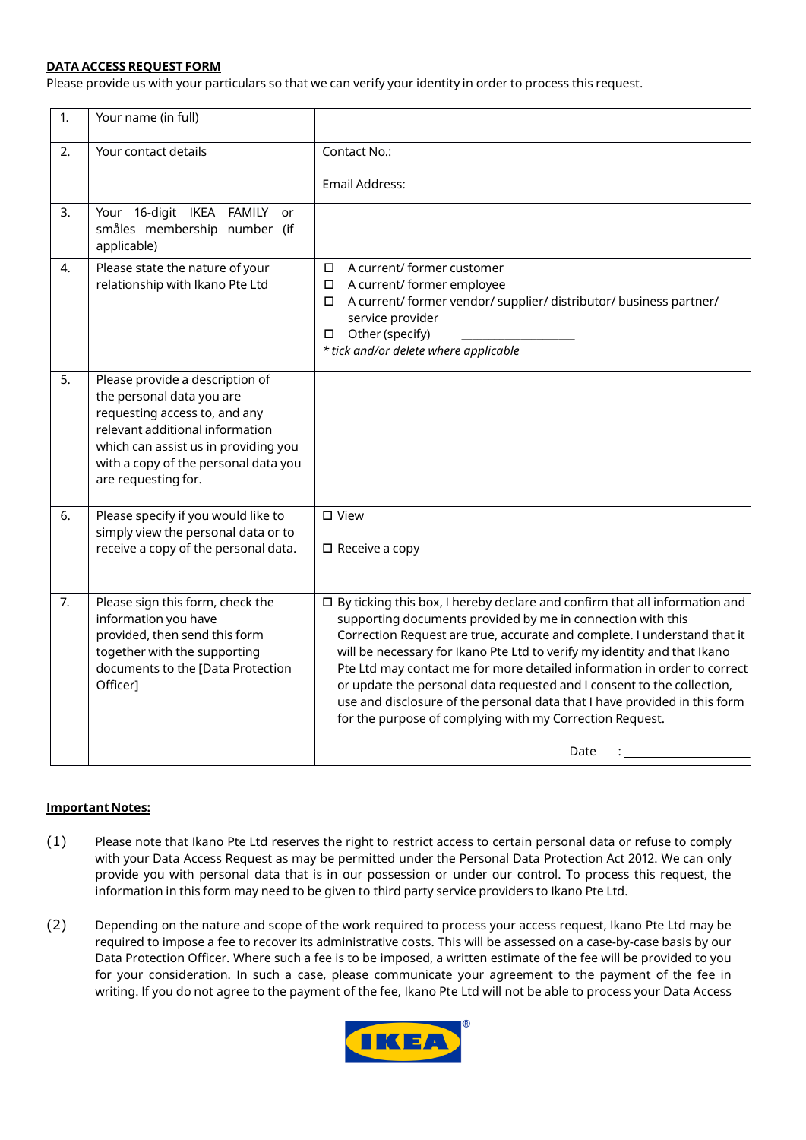## **DATA ACCESS REQUEST FORM**

Please provide us with your particulars so that we can verify your identity in order to process this request.

| 1. | Your name (in full)                                                                                                                                                                                                                     |                                                                                                                                                                                                                                                                                                                                                                                                                                                                                                                                                                                                                    |
|----|-----------------------------------------------------------------------------------------------------------------------------------------------------------------------------------------------------------------------------------------|--------------------------------------------------------------------------------------------------------------------------------------------------------------------------------------------------------------------------------------------------------------------------------------------------------------------------------------------------------------------------------------------------------------------------------------------------------------------------------------------------------------------------------------------------------------------------------------------------------------------|
| 2. | Your contact details                                                                                                                                                                                                                    | Contact No.:<br>Email Address:                                                                                                                                                                                                                                                                                                                                                                                                                                                                                                                                                                                     |
| 3. | Your 16-digit IKEA<br><b>FAMILY</b><br>or<br>småles membership number (if<br>applicable)                                                                                                                                                |                                                                                                                                                                                                                                                                                                                                                                                                                                                                                                                                                                                                                    |
| 4. | Please state the nature of your<br>relationship with Ikano Pte Ltd                                                                                                                                                                      | A current/ former customer<br>$\Box$<br>A current/ former employee<br>0<br>A current/ former vendor/ supplier/ distributor/ business partner/<br>$\Box$<br>service provider<br>Other (specify)<br>* tick and/or delete where applicable                                                                                                                                                                                                                                                                                                                                                                            |
| 5. | Please provide a description of<br>the personal data you are<br>requesting access to, and any<br>relevant additional information<br>which can assist us in providing you<br>with a copy of the personal data you<br>are requesting for. |                                                                                                                                                                                                                                                                                                                                                                                                                                                                                                                                                                                                                    |
| 6. | Please specify if you would like to<br>simply view the personal data or to<br>receive a copy of the personal data.                                                                                                                      | □ View<br>$\square$ Receive a copy                                                                                                                                                                                                                                                                                                                                                                                                                                                                                                                                                                                 |
| 7. | Please sign this form, check the<br>information you have<br>provided, then send this form<br>together with the supporting<br>documents to the [Data Protection<br>Officer]                                                              | $\square$ By ticking this box, I hereby declare and confirm that all information and<br>supporting documents provided by me in connection with this<br>Correction Request are true, accurate and complete. I understand that it<br>will be necessary for Ikano Pte Ltd to verify my identity and that Ikano<br>Pte Ltd may contact me for more detailed information in order to correct<br>or update the personal data requested and I consent to the collection,<br>use and disclosure of the personal data that I have provided in this form<br>for the purpose of complying with my Correction Request.<br>Date |

## **Important Notes:**

- (1) Please note that Ikano Pte Ltd reserves the right to restrict access to certain personal data or refuse to comply with your Data Access Request as may be permitted under the Personal Data Protection Act 2012. We can only provide you with personal data that is in our possession or under our control. To process this request, the information in this form may need to be given to third party service providers to Ikano Pte Ltd.
- (2) Depending on the nature and scope of the work required to process your access request, Ikano Pte Ltd may be required to impose a fee to recover its administrative costs. This will be assessed on a case-by-case basis by our Data Protection Officer. Where such a fee is to be imposed, a written estimate of the fee will be provided to you for your consideration. In such a case, please communicate your agreement to the payment of the fee in writing. If you do not agree to the payment of the fee, Ikano Pte Ltd will not be able to process your Data Access